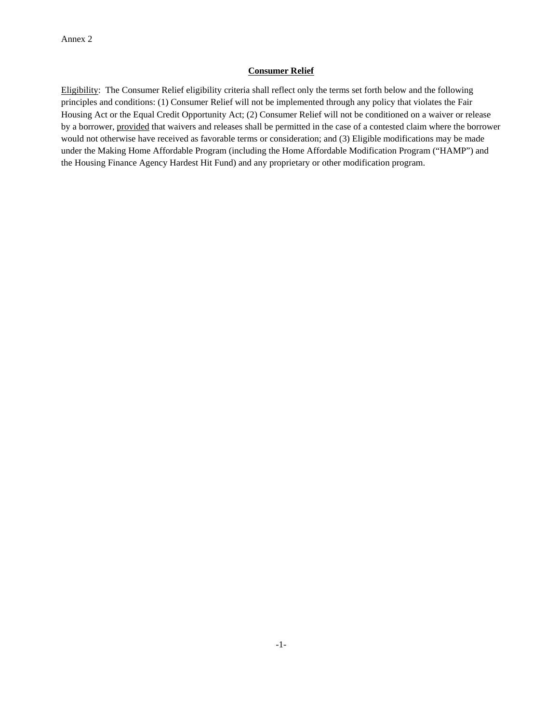## **Consumer Relief**

Eligibility: The Consumer Relief eligibility criteria shall reflect only the terms set forth below and the following principles and conditions: (1) Consumer Relief will not be implemented through any policy that violates the Fair Housing Act or the Equal Credit Opportunity Act; (2) Consumer Relief will not be conditioned on a waiver or release by a borrower, provided that waivers and releases shall be permitted in the case of a contested claim where the borrower would not otherwise have received as favorable terms or consideration; and (3) Eligible modifications may be made under the Making Home Affordable Program (including the Home Affordable Modification Program ("HAMP") and the Housing Finance Agency Hardest Hit Fund) and any proprietary or other modification program.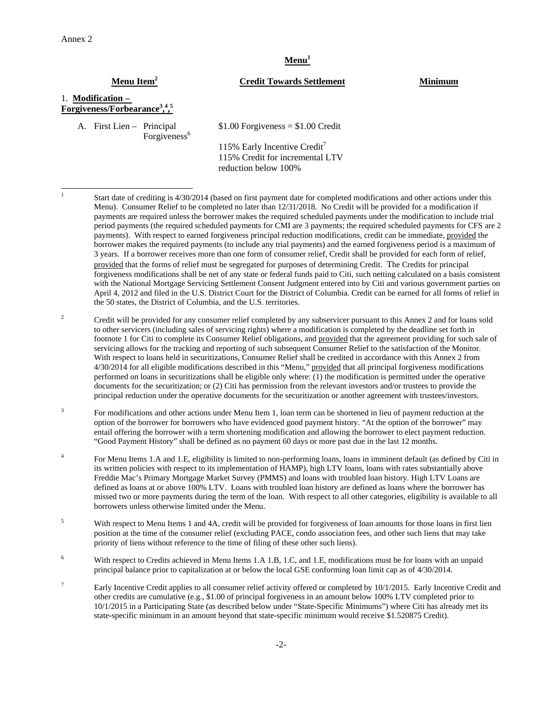$\frac{1}{1}$ 

## Menu<sup>1</sup>

## **Menu Item2 Credit Towards Settlement Minimum**

# 1. **Modification – Forgiveness/Forbearance3 , 4 , 5**

A. First Lien – Principal Forgiveness<sup>6</sup>  $$1.00$  Forgiveness  $= $1.00$  Credit

115% Early Incentive Credit<sup>7</sup> 115% Credit for incremental LTV reduction below 100%

 Start date of crediting is 4/30/2014 (based on first payment date for completed modifications and other actions under this Menu). Consumer Relief to be completed no later than 12/31/2018. No Credit will be provided for a modification if payments are required unless the borrower makes the required scheduled payments under the modification to include trial period payments (the required scheduled payments for CMI are 3 payments; the required scheduled payments for CFS are 2 payments). With respect to earned forgiveness principal reduction modifications, credit can be immediate, provided the borrower makes the required payments (to include any trial payments) and the earned forgiveness period is a maximum of 3 years. If a borrower receives more than one form of consumer relief, Credit shall be provided for each form of relief, provided that the forms of relief must be segregated for purposes of determining Credit. The Credits for principal forgiveness modifications shall be net of any state or federal funds paid to Citi, such netting calculated on a basis consistent with the National Mortgage Servicing Settlement Consent Judgment entered into by Citi and various government parties on April 4, 2012 and filed in the U.S. District Court for the District of Columbia. Credit can be earned for all forms of relief in the 50 states, the District of Columbia, and the U.S. territories.

2 Credit will be provided for any consumer relief completed by any subservicer pursuant to this Annex 2 and for loans sold to other servicers (including sales of servicing rights) where a modification is completed by the deadline set forth in footnote 1 for Citi to complete its Consumer Relief obligations, and provided that the agreement providing for such sale of servicing allows for the tracking and reporting of such subsequent Consumer Relief to the satisfaction of the Monitor. With respect to loans held in securitizations, Consumer Relief shall be credited in accordance with this Annex 2 from 4/30/2014 for all eligible modifications described in this "Menu," provided that all principal forgiveness modifications performed on loans in securitizations shall be eligible only where: (1) the modification is permitted under the operative documents for the securitization; or (2) Citi has permission from the relevant investors and/or trustees to provide the principal reduction under the operative documents for the securitization or another agreement with trustees/investors.

3 For modifications and other actions under Menu Item 1, loan term can be shortened in lieu of payment reduction at the option of the borrower for borrowers who have evidenced good payment history. "At the option of the borrower" may entail offering the borrower with a term shortening modification and allowing the borrower to elect payment reduction. "Good Payment History" shall be defined as no payment 60 days or more past due in the last 12 months.

4 For Menu Items 1.A and 1.E, eligibility is limited to non-performing loans, loans in imminent default (as defined by Citi in its written policies with respect to its implementation of HAMP), high LTV loans, loans with rates substantially above Freddie Mac's Primary Mortgage Market Survey (PMMS) and loans with troubled loan history. High LTV Loans are defined as loans at or above 100% LTV. Loans with troubled loan history are defined as loans where the borrower has missed two or more payments during the term of the loan. With respect to all other categories, eligibility is available to all borrowers unless otherwise limited under the Menu.

5 With respect to Menu Items 1 and 4A, credit will be provided for forgiveness of loan amounts for those loans in first lien position at the time of the consumer relief (excluding PACE, condo association fees, and other such liens that may take priority of liens without reference to the time of filing of these other such liens).

6 With respect to Credits achieved in Menu Items 1.A 1.B, 1.C, and 1.E, modifications must be for loans with an unpaid principal balance prior to capitalization at or below the local GSE conforming loan limit cap as of 4/30/2014.

7 Early Incentive Credit applies to all consumer relief activity offered or completed by 10/1/2015. Early Incentive Credit and other credits are cumulative (e.g., \$1.00 of principal forgiveness in an amount below 100% LTV completed prior to 10/1/2015 in a Participating State (as described below under "State-Specific Minimums") where Citi has already met its state-specific minimum in an amount beyond that state-specific minimum would receive \$1.520875 Credit).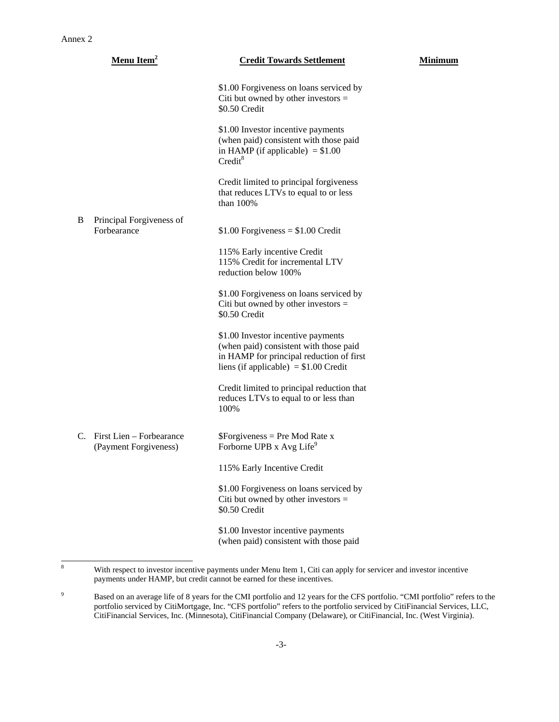|   | Menu Item <sup>2</sup>                               | <b>Credit Towards Settlement</b>                                                                                                                                   | <b>Minimum</b> |
|---|------------------------------------------------------|--------------------------------------------------------------------------------------------------------------------------------------------------------------------|----------------|
|   |                                                      | \$1.00 Forgiveness on loans serviced by<br>Citi but owned by other investors $=$<br>\$0.50 Credit                                                                  |                |
|   |                                                      | \$1.00 Investor incentive payments<br>(when paid) consistent with those paid<br>in HAMP (if applicable) $= $1.00$<br>Credit <sup>8</sup>                           |                |
|   |                                                      | Credit limited to principal forgiveness<br>that reduces LTVs to equal to or less<br>than $100\%$                                                                   |                |
| B | Principal Forgiveness of<br>Forbearance              | $$1.00$ Forgiveness = \$1.00 Credit                                                                                                                                |                |
|   |                                                      | 115% Early incentive Credit<br>115% Credit for incremental LTV<br>reduction below 100%                                                                             |                |
|   |                                                      | \$1.00 Forgiveness on loans serviced by<br>Citi but owned by other investors $=$<br>\$0.50 Credit                                                                  |                |
|   |                                                      | \$1.00 Investor incentive payments<br>(when paid) consistent with those paid<br>in HAMP for principal reduction of first<br>liens (if applicable) $= $1.00$ Credit |                |
|   |                                                      | Credit limited to principal reduction that<br>reduces LTVs to equal to or less than<br>100%                                                                        |                |
|   | C. First Lien – Forbearance<br>(Payment Forgiveness) | $S_{\text{Forgiveness}} = \text{Pre Mod Rate x}$<br>Forborne UPB x Avg Life <sup>9</sup>                                                                           |                |
|   |                                                      | 115% Early Incentive Credit                                                                                                                                        |                |
|   |                                                      | \$1.00 Forgiveness on loans serviced by<br>Citi but owned by other investors $=$<br>\$0.50 Credit                                                                  |                |
|   |                                                      | \$1.00 Investor incentive payments<br>(when paid) consistent with those paid                                                                                       |                |

 $\frac{1}{8}$ 

With respect to investor incentive payments under Menu Item 1, Citi can apply for servicer and investor incentive payments under HAMP, but credit cannot be earned for these incentives.

<sup>9</sup> Based on an average life of 8 years for the CMI portfolio and 12 years for the CFS portfolio. "CMI portfolio" refers to the portfolio serviced by CitiMortgage, Inc. "CFS portfolio" refers to the portfolio serviced by CitiFinancial Services, LLC, CitiFinancial Services, Inc. (Minnesota), CitiFinancial Company (Delaware), or CitiFinancial, Inc. (West Virginia).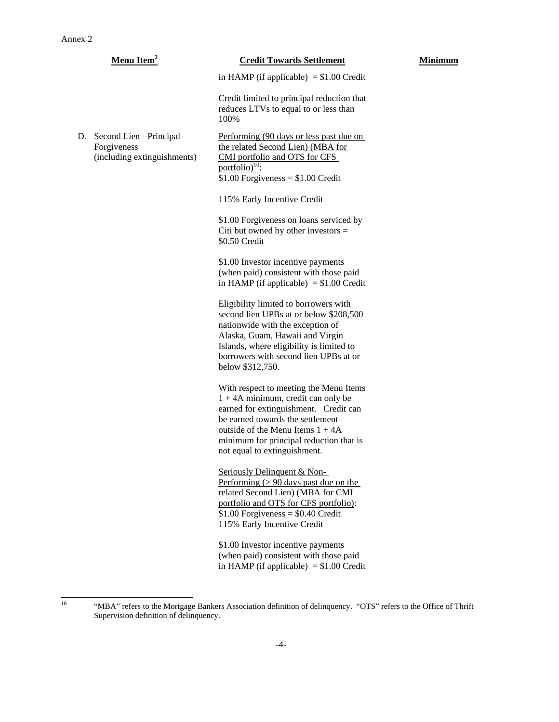|    | Menu Item <sup>2</sup>                                                | <b>Credit Towards Settlement</b>                                                                                                                                                                                                                                             | Minimum |
|----|-----------------------------------------------------------------------|------------------------------------------------------------------------------------------------------------------------------------------------------------------------------------------------------------------------------------------------------------------------------|---------|
|    |                                                                       | in HAMP (if applicable) $= $1.00$ Credit                                                                                                                                                                                                                                     |         |
|    |                                                                       | Credit limited to principal reduction that<br>reduces LTVs to equal to or less than<br>100%                                                                                                                                                                                  |         |
| D. | Second Lien - Principal<br>Forgiveness<br>(including extinguishments) | Performing (90 days or less past due on<br>the related Second Lien) (MBA for<br>CMI portfolio and OTS for CFS<br>portfolio) <sup>10</sup> :<br>$$1.00$ Forgiveness = \$1.00 Credit                                                                                           |         |
|    |                                                                       | 115% Early Incentive Credit                                                                                                                                                                                                                                                  |         |
|    |                                                                       | \$1.00 Forgiveness on loans serviced by<br>Citi but owned by other investors $=$<br>\$0.50 Credit                                                                                                                                                                            |         |
|    |                                                                       | \$1.00 Investor incentive payments<br>(when paid) consistent with those paid<br>in HAMP (if applicable) $= $1.00$ Credit                                                                                                                                                     |         |
|    |                                                                       | Eligibility limited to borrowers with<br>second lien UPBs at or below \$208,500<br>nationwide with the exception of<br>Alaska, Guam, Hawaii and Virgin<br>Islands, where eligibility is limited to<br>borrowers with second lien UPBs at or<br>below \$312,750.              |         |
|    |                                                                       | With respect to meeting the Menu Items<br>$1 + 4A$ minimum, credit can only be<br>earned for extinguishment. Credit can<br>be earned towards the settlement<br>outside of the Menu Items $1 + 4A$<br>minimum for principal reduction that is<br>not equal to extinguishment. |         |
|    |                                                                       | Seriously Delinquent & Non-<br>Performing $(> 90 \text{ days} \text{ past due on the})$<br>related Second Lien) (MBA for CMI<br>portfolio and OTS for CFS portfolio):<br>$$1.00$ Forgiveness = \$0.40 Credit<br>115% Early Incentive Credit                                  |         |
|    |                                                                       | \$1.00 Investor incentive payments<br>(when paid) consistent with those paid                                                                                                                                                                                                 |         |

in HAMP (if applicable)  $= $1.00$  Credit

 $10\,$ 

<sup>&</sup>quot;MBA" refers to the Mortgage Bankers Association definition of delinquency. "OTS" refers to the Office of Thrift Supervision definition of delinquency.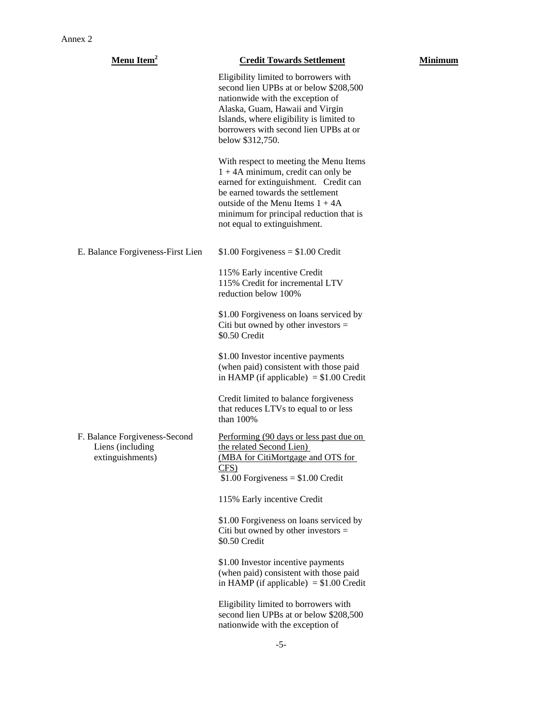| <b>Menu Item<sup>2</sup></b>                                          | <b>Credit Towards Settlement</b>                                                                                                                                                                                                                                             | Minimum |
|-----------------------------------------------------------------------|------------------------------------------------------------------------------------------------------------------------------------------------------------------------------------------------------------------------------------------------------------------------------|---------|
|                                                                       | Eligibility limited to borrowers with<br>second lien UPBs at or below \$208,500<br>nationwide with the exception of<br>Alaska, Guam, Hawaii and Virgin<br>Islands, where eligibility is limited to<br>borrowers with second lien UPBs at or<br>below \$312,750.              |         |
|                                                                       | With respect to meeting the Menu Items<br>$1 + 4A$ minimum, credit can only be<br>earned for extinguishment. Credit can<br>be earned towards the settlement<br>outside of the Menu Items $1 + 4A$<br>minimum for principal reduction that is<br>not equal to extinguishment. |         |
| E. Balance Forgiveness-First Lien                                     | $$1.00$ Forgiveness = $$1.00$ Credit                                                                                                                                                                                                                                         |         |
|                                                                       | 115% Early incentive Credit<br>115% Credit for incremental LTV<br>reduction below 100%                                                                                                                                                                                       |         |
|                                                                       | \$1.00 Forgiveness on loans serviced by<br>Citi but owned by other investors $=$<br>\$0.50 Credit                                                                                                                                                                            |         |
|                                                                       | \$1.00 Investor incentive payments<br>(when paid) consistent with those paid<br>in HAMP (if applicable) $= $1.00$ Credit                                                                                                                                                     |         |
|                                                                       | Credit limited to balance forgiveness<br>that reduces LTVs to equal to or less<br>than $100%$                                                                                                                                                                                |         |
| F. Balance Forgiveness-Second<br>Liens (including<br>extinguishments) | Performing (90 days or less past due on<br>the related Second Lien)<br>(MBA for CitiMortgage and OTS for<br>CFS)<br>$$1.00$ Forgiveness = $$1.00$ Credit                                                                                                                     |         |
|                                                                       | 115% Early incentive Credit                                                                                                                                                                                                                                                  |         |
|                                                                       | \$1.00 Forgiveness on loans serviced by<br>Citi but owned by other investors $=$<br>\$0.50 Credit                                                                                                                                                                            |         |
|                                                                       | \$1.00 Investor incentive payments<br>(when paid) consistent with those paid<br>in HAMP (if applicable) $= $1.00$ Credit                                                                                                                                                     |         |
|                                                                       | Eligibility limited to borrowers with<br>second lien UPBs at or below \$208,500<br>nationwide with the exception of                                                                                                                                                          |         |
|                                                                       |                                                                                                                                                                                                                                                                              |         |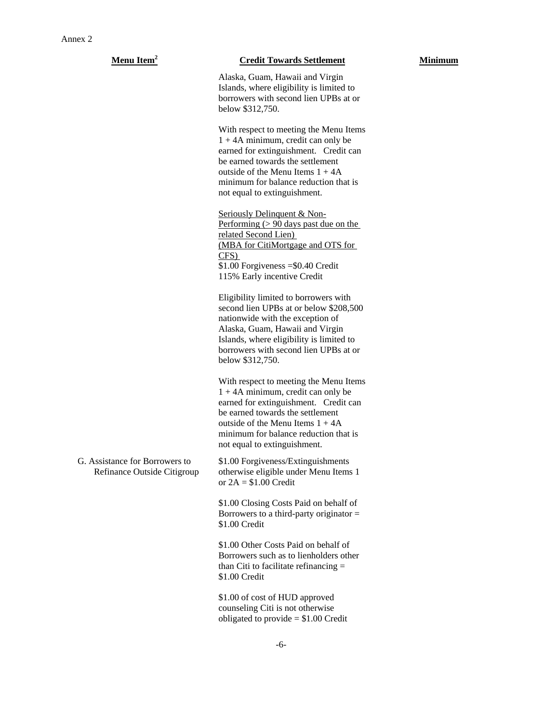| Menu Item <sup>2</sup>                                        | <b>Credit Towards Settlement</b>                                                                                                                                                                                                                                           | Minimum |
|---------------------------------------------------------------|----------------------------------------------------------------------------------------------------------------------------------------------------------------------------------------------------------------------------------------------------------------------------|---------|
|                                                               | Alaska, Guam, Hawaii and Virgin<br>Islands, where eligibility is limited to<br>borrowers with second lien UPBs at or<br>below \$312,750.                                                                                                                                   |         |
|                                                               | With respect to meeting the Menu Items<br>$1 + 4A$ minimum, credit can only be<br>earned for extinguishment. Credit can<br>be earned towards the settlement<br>outside of the Menu Items $1 + 4A$<br>minimum for balance reduction that is<br>not equal to extinguishment. |         |
|                                                               | Seriously Delinquent & Non-<br>Performing $(> 90 \text{ days} \text{ past due on the})$<br>related Second Lien)<br>(MBA for CitiMortgage and OTS for<br>$CFS$ )<br>$$1.00$ Forgiveness = \$0.40 Credit<br>115% Early incentive Credit                                      |         |
|                                                               | Eligibility limited to borrowers with<br>second lien UPBs at or below \$208,500<br>nationwide with the exception of<br>Alaska, Guam, Hawaii and Virgin<br>Islands, where eligibility is limited to<br>borrowers with second lien UPBs at or<br>below \$312,750.            |         |
|                                                               | With respect to meeting the Menu Items<br>$1 + 4A$ minimum, credit can only be<br>earned for extinguishment. Credit can<br>be earned towards the settlement<br>outside of the Menu Items $1 + 4A$<br>minimum for balance reduction that is<br>not equal to extinguishment. |         |
| G. Assistance for Borrowers to<br>Refinance Outside Citigroup | \$1.00 Forgiveness/Extinguishments<br>otherwise eligible under Menu Items 1<br>or $2A = $1.00$ Credit                                                                                                                                                                      |         |
|                                                               | \$1.00 Closing Costs Paid on behalf of<br>Borrowers to a third-party originator $=$<br>\$1.00 Credit                                                                                                                                                                       |         |
|                                                               | \$1.00 Other Costs Paid on behalf of<br>Borrowers such as to lienholders other<br>than Citi to facilitate refinancing $=$<br>\$1.00 Credit                                                                                                                                 |         |
|                                                               | \$1.00 of cost of HUD approved<br>counseling Citi is not otherwise<br>obligated to provide $= $1.00$ Credit                                                                                                                                                                |         |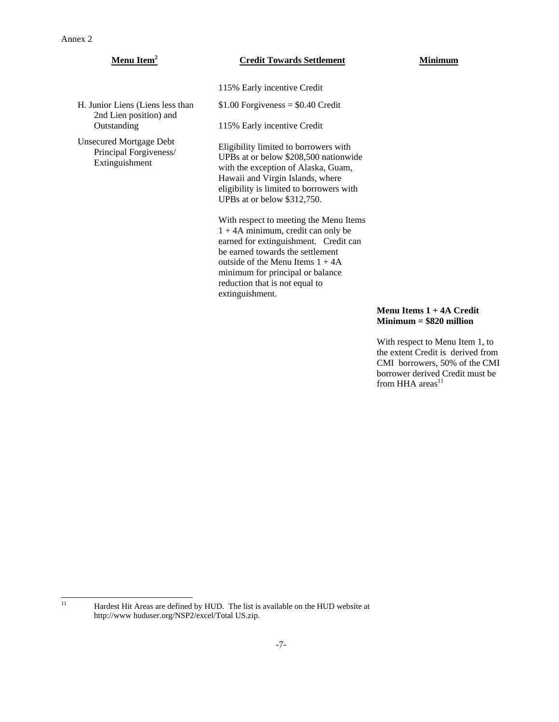$11$ 

H. Junior Liens (Liens less than 2nd Lien position) and

Outstanding

Unsecured Mortgage Debt Principal Forgiveness/ Extinguishment

## **Menu Item<sup>2</sup> <b>Credit Towards Settlement Minimum**

115% Early incentive Credit

 $$1.00$  Forgiveness =  $$0.40$  Credit

115% Early incentive Credit

Eligibility limited to borrowers with UPBs at or below \$208,500 nationwide with the exception of Alaska, Guam, Hawaii and Virgin Islands, where eligibility is limited to borrowers with UPBs at or below \$312,750.

With respect to meeting the Menu Items 1 + 4A minimum, credit can only be earned for extinguishment. Credit can be earned towards the settlement outside of the Menu Items  $1 + 4A$ minimum for principal or balance reduction that is not equal to extinguishment.

# **Menu Items 1 + 4A Credit Minimum = \$820 million**

With respect to Menu Item 1, to the extent Credit is derived from CMI borrowers, 50% of the CMI borrower derived Credit must be from HHA  $area<sup>11</sup>$ 

Hardest Hit Areas are defined by HUD. The list is available on the HUD website at http://www huduser.org/NSP2/excel/Total US.zip.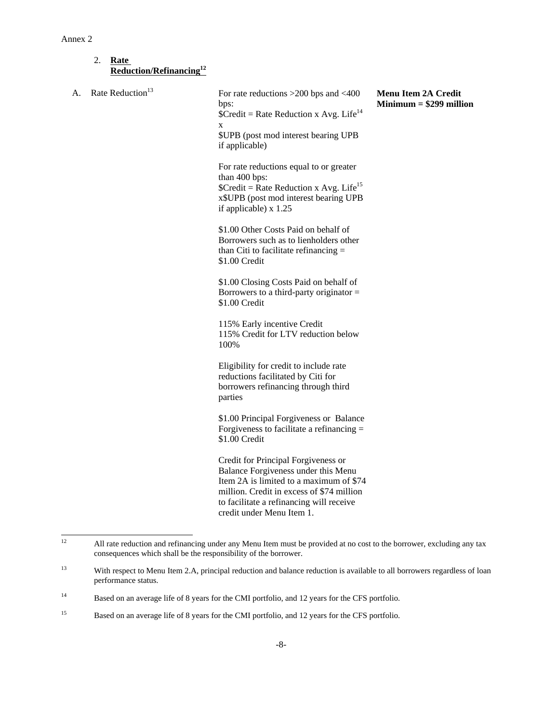### 2. **Rate Reduction/Refinancing12**

| А. | Rate Reduction <sup>13</sup> | For rate reductions $>200$ bps and $<400$<br>bps:<br>$Credit = Rate Reduction x Avg. Life14$<br>X<br>\$UPB (post mod interest bearing UPB<br>if applicable)                                                                                 | <b>Menu Item 2A Credit</b><br>$Minimum = $299$ million |
|----|------------------------------|---------------------------------------------------------------------------------------------------------------------------------------------------------------------------------------------------------------------------------------------|--------------------------------------------------------|
|    |                              | For rate reductions equal to or greater<br>than 400 bps:<br>$\text{SCredit} = \text{Rate Reduction} \times \text{Avg. Life}^{15}$<br>x\$UPB (post mod interest bearing UPB<br>if applicable) $x$ 1.25                                       |                                                        |
|    |                              | \$1.00 Other Costs Paid on behalf of<br>Borrowers such as to lienholders other<br>than Citi to facilitate refinancing $=$<br>\$1.00 Credit                                                                                                  |                                                        |
|    |                              | \$1.00 Closing Costs Paid on behalf of<br>Borrowers to a third-party originator $=$<br>\$1.00 Credit                                                                                                                                        |                                                        |
|    |                              | 115% Early incentive Credit<br>115% Credit for LTV reduction below<br>100%                                                                                                                                                                  |                                                        |
|    |                              | Eligibility for credit to include rate<br>reductions facilitated by Citi for<br>borrowers refinancing through third<br>parties                                                                                                              |                                                        |
|    |                              | \$1.00 Principal Forgiveness or Balance<br>Forgiveness to facilitate a refinancing =<br>\$1.00 Credit                                                                                                                                       |                                                        |
|    |                              | Credit for Principal Forgiveness or<br>Balance Forgiveness under this Menu<br>Item 2A is limited to a maximum of \$74<br>million. Credit in excess of \$74 million<br>to facilitate a refinancing will receive<br>credit under Menu Item 1. |                                                        |

 $12 \text{ }$  $12$  All rate reduction and refinancing under any Menu Item must be provided at no cost to the borrower, excluding any tax consequences which shall be the responsibility of the borrower.

<sup>&</sup>lt;sup>13</sup> With respect to Menu Item 2.A, principal reduction and balance reduction is available to all borrowers regardless of loan performance status.

<sup>&</sup>lt;sup>14</sup> Based on an average life of 8 years for the CMI portfolio, and 12 years for the CFS portfolio.

<sup>&</sup>lt;sup>15</sup> Based on an average life of 8 years for the CMI portfolio, and 12 years for the CFS portfolio.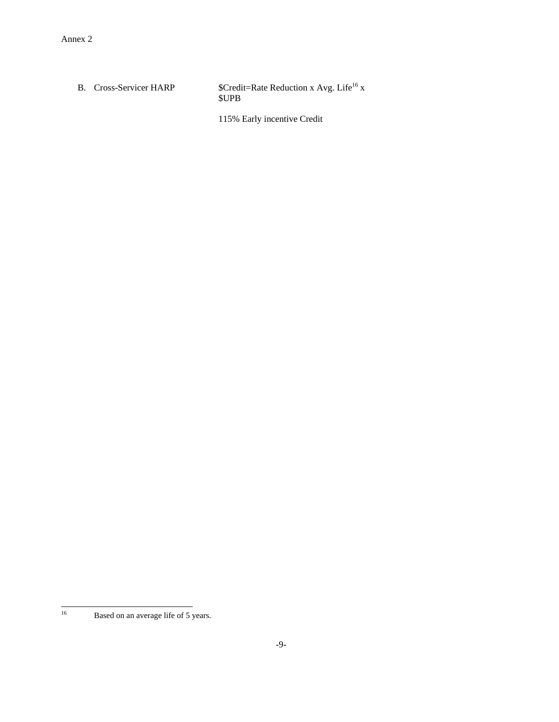B. Cross-Servicer HARP  $\qquad \qquad$  \$Credit=Rate Reduction x Avg. Life<sup>16</sup> x \$UPB

115% Early incentive Credit

 $16\,$ 

Based on an average life of 5 years.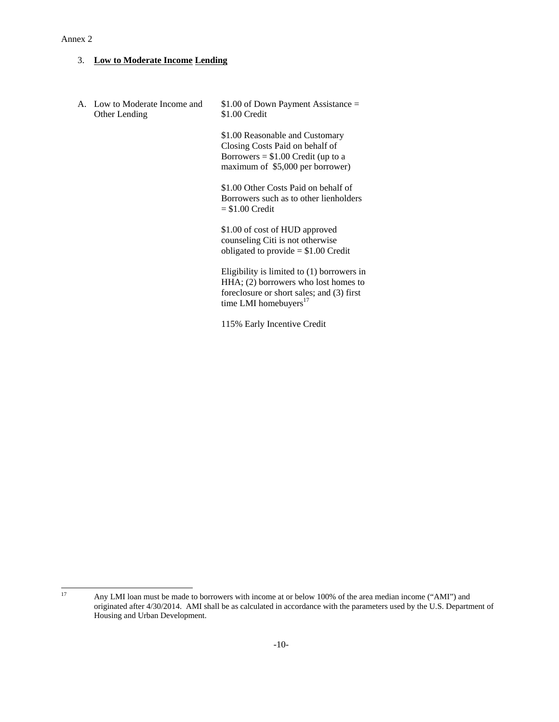## 3. **Low to Moderate Income Lending**

A. Low to Moderate Income and Other Lending \$1.00 of Down Payment Assistance = \$1.00 Credit

> \$1.00 Reasonable and Customary Closing Costs Paid on behalf of Borrowers  $= $1.00$  Credit (up to a maximum of \$5,000 per borrower)

\$1.00 Other Costs Paid on behalf of Borrowers such as to other lienholders  $= $1.00$  Credit

\$1.00 of cost of HUD approved counseling Citi is not otherwise obligated to provide = \$1.00 Credit

Eligibility is limited to (1) borrowers in HHA; (2) borrowers who lost homes to foreclosure or short sales; and (3) first time LMI homebuyers $17$ 

115% Early Incentive Credit

<sup>17</sup> Any LMI loan must be made to borrowers with income at or below 100% of the area median income ("AMI") and originated after 4/30/2014. AMI shall be as calculated in accordance with the parameters used by the U.S. Department of Housing and Urban Development.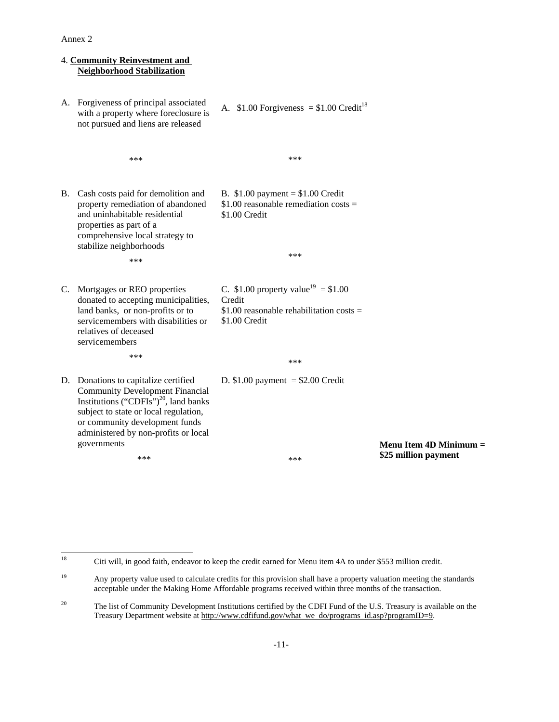### 4. **Community Reinvestment and Neighborhood Stabilization** A. Forgiveness of principal associated with a property where foreclosure is not pursued and liens are released \*\*\* A.  $$1.00$  Forgiveness = \$1.00 Credit<sup>18</sup> \*\*\* B. Cash costs paid for demolition and property remediation of abandoned and uninhabitable residential properties as part of a comprehensive local strategy to stabilize neighborhoods \*\*\* B. \$1.00 payment = \$1.00 Credit \$1.00 reasonable remediation costs = \$1.00 Credit \*\*\* C. Mortgages or REO properties donated to accepting municipalities, land banks, or non-profits or to servicemembers with disabilities or relatives of deceased servicemembers \*\*\* C. \$1.00 property value<sup>19</sup> = \$1.00 Credit  $$1.00$  reasonable rehabilitation costs = \$1.00 Credit \*\*\* D. Donations to capitalize certified Community Development Financial Institutions ("CDFIs")<sup>20</sup>, land banks subject to state or local regulation, or community development funds administered by non-profits or local governments \*\*\* D.  $$1.00$  payment =  $$2.00$  Credit \*\*\* **Menu Item 4D Minimum = \$25 million payment**

<sup>18</sup> 18 Citi will, in good faith, endeavor to keep the credit earned for Menu item 4A to under \$553 million credit.

<sup>&</sup>lt;sup>19</sup> Any property value used to calculate credits for this provision shall have a property valuation meeting the standards acceptable under the Making Home Affordable programs received within three months of the transaction.

<sup>&</sup>lt;sup>20</sup> The list of Community Development Institutions certified by the CDFI Fund of the U.S. Treasury is available on the Treasury Department website at http://www.cdfifund.gov/what we do/programs id.asp?programID=9.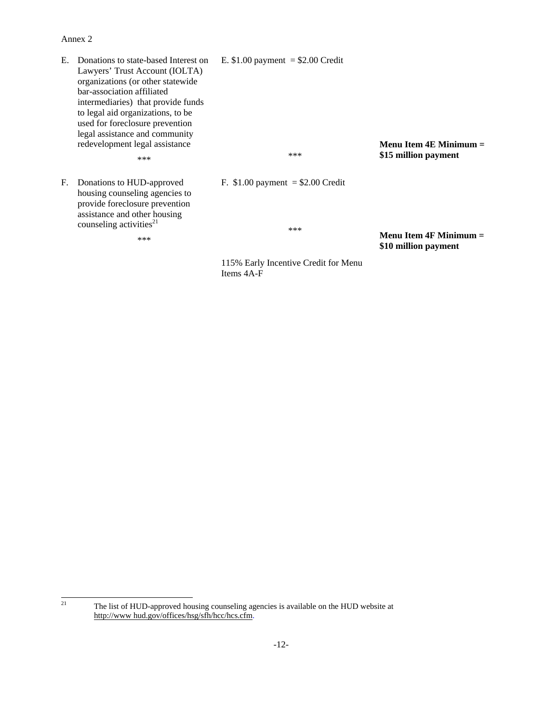E. Donations to state-based Interest on Lawyers' Trust Account (IOLTA) organizations (or other statewide bar-association affiliated intermediaries) that provide funds to legal aid organizations, to be used for foreclosure prevention legal assistance and community redevelopment legal assistance

F. Donations to HUD-approved housing counseling agencies to provide foreclosure prevention assistance and other housing counseling activities<sup>21</sup>

\*\*\*

\*\*\*

E.  $$1.00$  payment =  $$2.00$  Credit

\*\*\*

F. \$1.00 payment = \$2.00 Credit

\*\*\* **Menu Item 4F Minimum = \$10 million payment** 

**Menu Item 4E Minimum = \$15 million payment** 

115% Early Incentive Credit for Menu Items 4A-F

 $21$ The list of HUD-approved housing counseling agencies is available on the HUD website at http://www hud.gov/offices/hsg/sfh/hcc/hcs.cfm.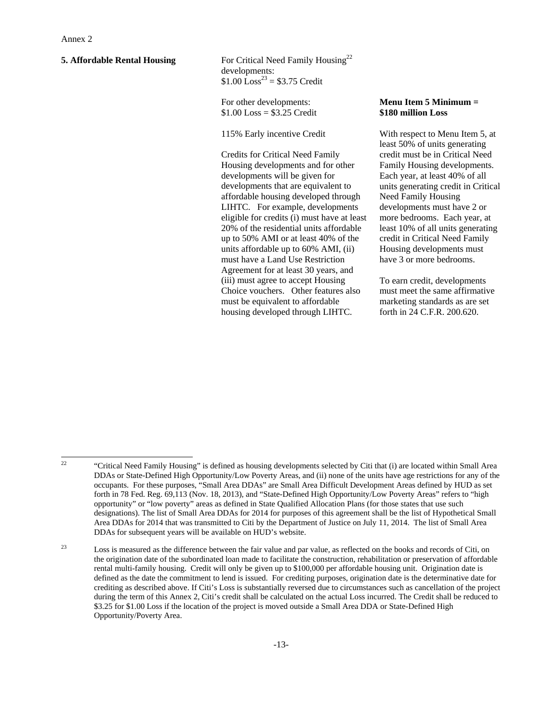**5. Affordable Rental Housing** For Critical Need Family Housing<sup>22</sup> developments:  $$1.00 \text{ Loss}^{23} = $3.75 \text{ Credit}$ 

> For other developments:  $$1.00$  Loss = \$3.25 Credit

115% Early incentive Credit

Credits for Critical Need Family Housing developments and for other developments will be given for developments that are equivalent to affordable housing developed through LIHTC. For example, developments eligible for credits (i) must have at least 20% of the residential units affordable up to 50% AMI or at least 40% of the units affordable up to 60% AMI, (ii) must have a Land Use Restriction Agreement for at least 30 years, and (iii) must agree to accept Housing Choice vouchers. Other features also must be equivalent to affordable housing developed through LIHTC.

### **Menu Item 5 Minimum = \$180 million Loss**

With respect to Menu Item 5, at least 50% of units generating credit must be in Critical Need Family Housing developments. Each year, at least 40% of all units generating credit in Critical Need Family Housing developments must have 2 or more bedrooms. Each year, at least 10% of all units generating credit in Critical Need Family Housing developments must have 3 or more bedrooms.

To earn credit, developments must meet the same affirmative marketing standards as are set forth in 24 C.F.R. 200.620.

<sup>22</sup> 

<sup>22 &</sup>quot;Critical Need Family Housing" is defined as housing developments selected by Citi that (i) are located within Small Area DDAs or State-Defined High Opportunity/Low Poverty Areas, and (ii) none of the units have age restrictions for any of the occupants. For these purposes, "Small Area DDAs" are Small Area Difficult Development Areas defined by HUD as set forth in 78 Fed. Reg. 69,113 (Nov. 18, 2013), and "State-Defined High Opportunity/Low Poverty Areas" refers to "high opportunity" or "low poverty" areas as defined in State Qualified Allocation Plans (for those states that use such designations). The list of Small Area DDAs for 2014 for purposes of this agreement shall be the list of Hypothetical Small Area DDAs for 2014 that was transmitted to Citi by the Department of Justice on July 11, 2014. The list of Small Area DDAs for subsequent years will be available on HUD's website.

<sup>&</sup>lt;sup>23</sup> Loss is measured as the difference between the fair value and par value, as reflected on the books and records of Citi, on the origination date of the subordinated loan made to facilitate the construction, rehabilitation or preservation of affordable rental multi-family housing. Credit will only be given up to \$100,000 per affordable housing unit. Origination date is defined as the date the commitment to lend is issued. For crediting purposes, origination date is the determinative date for crediting as described above. If Citi's Loss is substantially reversed due to circumstances such as cancellation of the project during the term of this Annex 2, Citi's credit shall be calculated on the actual Loss incurred. The Credit shall be reduced to \$3.25 for \$1.00 Loss if the location of the project is moved outside a Small Area DDA or State-Defined High Opportunity/Poverty Area.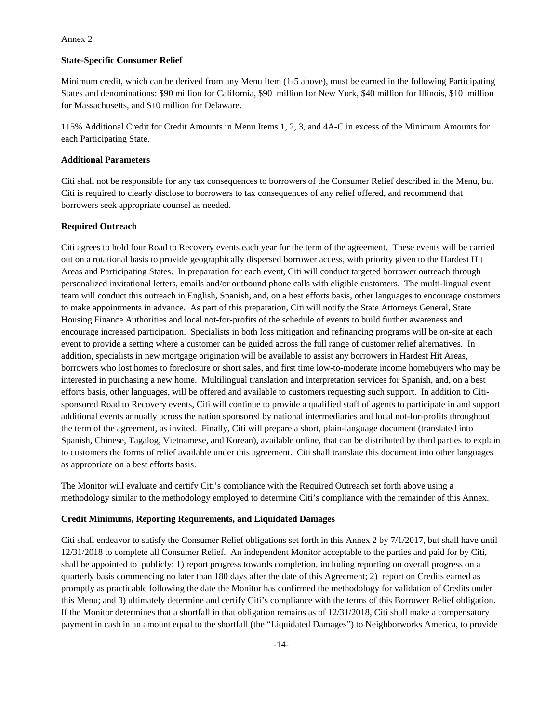#### **State-Specific Consumer Relief**

Minimum credit, which can be derived from any Menu Item (1-5 above), must be earned in the following Participating States and denominations: \$90 million for California, \$90 million for New York, \$40 million for Illinois, \$10 million for Massachusetts, and \$10 million for Delaware.

115% Additional Credit for Credit Amounts in Menu Items 1, 2, 3, and 4A-C in excess of the Minimum Amounts for each Participating State.

### **Additional Parameters**

Citi shall not be responsible for any tax consequences to borrowers of the Consumer Relief described in the Menu, but Citi is required to clearly disclose to borrowers to tax consequences of any relief offered, and recommend that borrowers seek appropriate counsel as needed.

#### **Required Outreach**

Citi agrees to hold four Road to Recovery events each year for the term of the agreement. These events will be carried out on a rotational basis to provide geographically dispersed borrower access, with priority given to the Hardest Hit Areas and Participating States. In preparation for each event, Citi will conduct targeted borrower outreach through personalized invitational letters, emails and/or outbound phone calls with eligible customers. The multi-lingual event team will conduct this outreach in English, Spanish, and, on a best efforts basis, other languages to encourage customers to make appointments in advance. As part of this preparation, Citi will notify the State Attorneys General, State Housing Finance Authorities and local not-for-profits of the schedule of events to build further awareness and encourage increased participation. Specialists in both loss mitigation and refinancing programs will be on-site at each event to provide a setting where a customer can be guided across the full range of customer relief alternatives. In addition, specialists in new mortgage origination will be available to assist any borrowers in Hardest Hit Areas, borrowers who lost homes to foreclosure or short sales, and first time low-to-moderate income homebuyers who may be interested in purchasing a new home. Multilingual translation and interpretation services for Spanish, and, on a best efforts basis, other languages, will be offered and available to customers requesting such support. In addition to Citisponsored Road to Recovery events, Citi will continue to provide a qualified staff of agents to participate in and support additional events annually across the nation sponsored by national intermediaries and local not-for-profits throughout the term of the agreement, as invited. Finally, Citi will prepare a short, plain-language document (translated into Spanish, Chinese, Tagalog, Vietnamese, and Korean), available online, that can be distributed by third parties to explain to customers the forms of relief available under this agreement. Citi shall translate this document into other languages as appropriate on a best efforts basis.

The Monitor will evaluate and certify Citi's compliance with the Required Outreach set forth above using a methodology similar to the methodology employed to determine Citi's compliance with the remainder of this Annex.

#### **Credit Minimums, Reporting Requirements, and Liquidated Damages**

Citi shall endeavor to satisfy the Consumer Relief obligations set forth in this Annex 2 by 7/1/2017, but shall have until 12/31/2018 to complete all Consumer Relief. An independent Monitor acceptable to the parties and paid for by Citi, shall be appointed to publicly: 1) report progress towards completion, including reporting on overall progress on a quarterly basis commencing no later than 180 days after the date of this Agreement; 2) report on Credits earned as promptly as practicable following the date the Monitor has confirmed the methodology for validation of Credits under this Menu; and 3) ultimately determine and certify Citi's compliance with the terms of this Borrower Relief obligation. If the Monitor determines that a shortfall in that obligation remains as of 12/31/2018, Citi shall make a compensatory payment in cash in an amount equal to the shortfall (the "Liquidated Damages") to Neighborworks America, to provide